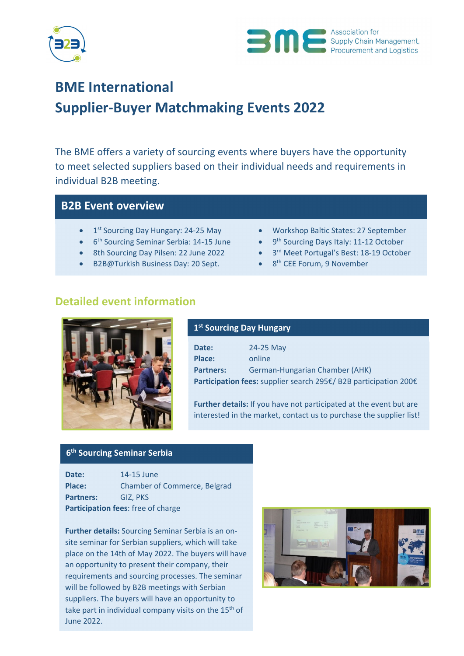



# **BME International Supplier‐Buyer Matchmaking Events 2022**

The BME offers a variety of sourcing events where buyers have the opportunity to meet selected suppliers based on their individual needs and requirements in individual B2B meeting.

# **B2B Event overview**

- 
- 
- 
- B2B@Turkish Business Day: 20 Sept.  $\bullet$  8<sup>th</sup> CEE Forum, 9 November
- 1<sup>st</sup> Sourcing Day Hungary: 24-25 May Workshop Baltic States: 27 September
- 6<sup>th</sup> Sourcing Seminar Serbia: 14-15 June **•** 9<sup>th</sup> Sourcing Days Italy: 11-12 October
- 8th Sourcing Day Pilsen: 22 June 2022 3<sup>rd</sup> Meet Portugal's Best: 18-19 October
	-

# **Detailed event information**



### **1st Sourcing Day Hungary**

| Date:                                                            | 24-25 May                      |  |
|------------------------------------------------------------------|--------------------------------|--|
| Place:                                                           | online                         |  |
| <b>Partners:</b>                                                 | German-Hungarian Chamber (AHK) |  |
| Participation fees: supplier search 295€/ B2B participation 200€ |                                |  |

**Further details:** If you have not participated at the event but are interested in the market, contact us to purchase the supplier list!

# **6th Sourcing Seminar Serbia**

| Date:                              | 14-15 June                          |  |
|------------------------------------|-------------------------------------|--|
| Place:                             | <b>Chamber of Commerce, Belgrad</b> |  |
| <b>Partners:</b>                   | GIZ. PKS                            |  |
| Participation fees: free of charge |                                     |  |

**Further details:** Sourcing Seminar Serbia is an on‐ site seminar for Serbian suppliers, which will take place on the 14th of May 2022. The buyers will have an opportunity to present their company, their requirements and sourcing processes. The seminar will be followed by B2B meetings with Serbian suppliers. The buyers will have an opportunity to take part in individual company visits on the  $15<sup>th</sup>$  of June 2022.

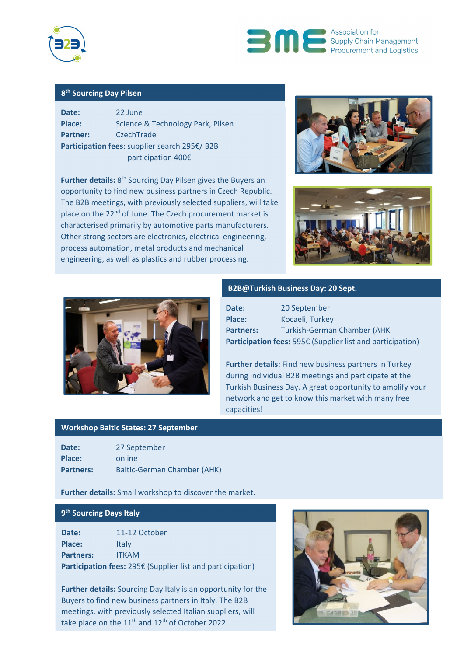



### **8th Sourcing Day Pilsen**

| Date:                                         | 22 June                           |  |
|-----------------------------------------------|-----------------------------------|--|
| Place:                                        | Science & Technology Park, Pilsen |  |
| <b>Partner:</b>                               | CzechTrade                        |  |
| Participation fees: supplier search 295€/ B2B |                                   |  |
| participation 400€                            |                                   |  |

**Further details:** 8<sup>th</sup> Sourcing Day Pilsen gives the Buyers an opportunity to find new business partners in Czech Republic. The B2B meetings, with previously selected suppliers, will take place on the 22<sup>nd</sup> of June. The Czech procurement market is characterised primarily by automotive parts manufacturers. Other strong sectors are electronics, electrical engineering, process automation, metal products and mechanical engineering, as well as plastics and rubber processing.







#### **B2B@Turkish Business Day: 20 Sept.**

| Date:            | 20 September                                               |
|------------------|------------------------------------------------------------|
| Place:           | Kocaeli, Turkey                                            |
| <b>Partners:</b> | <b>Turkish-German Chamber (AHK)</b>                        |
|                  | Participation fees: 595€ (Supplier list and participation) |

**Further details:** Find new business partners in Turkey during individual B2B meetings and participate at the Turkish Business Day. A great opportunity to amplify your network and get to know this market with many free capacities!

#### **Workshop Baltic States: 27 September**

| Date:            | 27 September                |
|------------------|-----------------------------|
| Place:           | online                      |
| <b>Partners:</b> | Baltic-German Chamber (AHK) |

**Further details:** Small workshop to discover the market.

#### **9th Sourcing Days Italy**

| Date:                                                      | 11-12 October |  |
|------------------------------------------------------------|---------------|--|
| Place:                                                     | <b>Italy</b>  |  |
| <b>Partners:</b>                                           | <b>ITKAM</b>  |  |
| Participation fees: 295€ (Supplier list and participation) |               |  |

**Further details:** Sourcing Day Italy is an opportunity for the Buyers to find new business partners in Italy. The B2B meetings, with previously selected Italian suppliers, will take place on the  $11<sup>th</sup>$  and  $12<sup>th</sup>$  of October 2022.